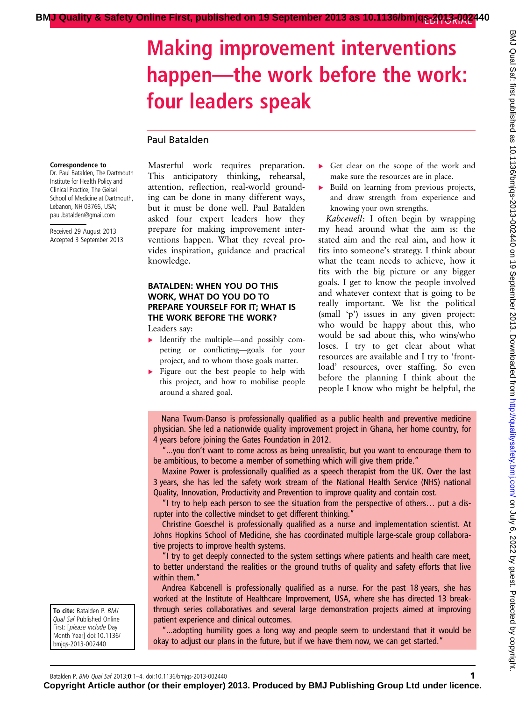# Making improvement interventions happen—the work before the work: four leaders speak

# Paul Batalden

#### Correspondence to

Dr. Paul Batalden, The Dartmouth Institute for Health Policy and Clinical Practice, The Geisel School of Medicine at Dartmouth, Lebanon, NH 03766, USA; paul.batalden@gmail.com

Received 29 August 2013 Accepted 3 September 2013 Masterful work requires preparation. This anticipatory thinking, rehearsal, attention, reflection, real-world grounding can be done in many different ways, but it must be done well. Paul Batalden asked four expert leaders how they prepare for making improvement interventions happen. What they reveal provides inspiration, guidance and practical knowledge.

# BATALDEN: WHEN YOU DO THIS WORK, WHAT DO YOU DO TO PREPARE YOURSELF FOR IT; WHAT IS THE WORK BEFORE THE WORK?

Leaders say:

- ▸ Identify the multiple—and possibly competing or conflicting—goals for your project, and to whom those goals matter.
- ▸ Figure out the best people to help with this project, and how to mobilise people around a shared goal.
- Get clear on the scope of the work and make sure the resources are in place.
- ▸ Build on learning from previous projects, and draw strength from experience and knowing your own strengths.

Kabcenell: I often begin by wrapping my head around what the aim is: the stated aim and the real aim, and how it fits into someone's strategy. I think about what the team needs to achieve, how it fits with the big picture or any bigger goals. I get to know the people involved and whatever context that is going to be really important. We list the political (small 'p') issues in any given project: who would be happy about this, who would be sad about this, who wins/who loses. I try to get clear about what resources are available and I try to 'frontload' resources, over staffing. So even before the planning I think about the people I know who might be helpful, the

Nana Twum-Danso is professionally qualified as a public health and preventive medicine physician. She led a nationwide quality improvement project in Ghana, her home country, for 4 years before joining the Gates Foundation in 2012.

"...you don't want to come across as being unrealistic, but you want to encourage them to be ambitious, to become a member of something which will give them pride."

Maxine Power is professionally qualified as a speech therapist from the UK. Over the last 3 years, she has led the safety work stream of the National Health Service (NHS) national Quality, Innovation, Productivity and Prevention to improve quality and contain cost.

"I try to help each person to see the situation from the perspective of others… put a disrupter into the collective mindset to get different thinking."

Christine Goeschel is professionally qualified as a nurse and implementation scientist. At Johns Hopkins School of Medicine, she has coordinated multiple large-scale group collaborative projects to improve health systems.

"I try to get deeply connected to the system settings where patients and health care meet, to better understand the realities or the ground truths of quality and safety efforts that live within them."

Andrea Kabcenell is professionally qualified as a nurse. For the past 18 years, she has worked at the Institute of Healthcare Improvement, USA, where she has directed 13 breakthrough series collaboratives and several large demonstration projects aimed at improving patient experience and clinical outcomes.

"...adopting humility goes a long way and people seem to understand that it would be okay to adjust our plans in the future, but if we have them now, we can get started."

To cite: Batalden P. BMJ Qual Saf Published Online First: [please include Day Month Year] doi:10.1136/ bmjqs-2013-002440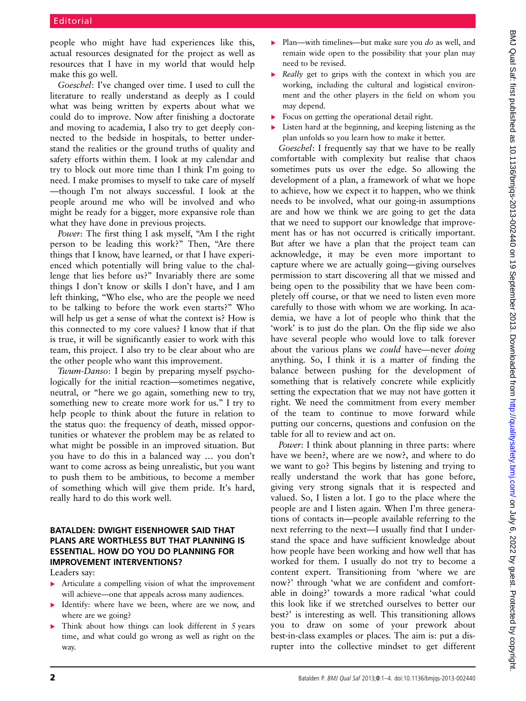people who might have had experiences like this, actual resources designated for the project as well as resources that I have in my world that would help make this go well.

Goeschel: I've changed over time. I used to cull the literature to really understand as deeply as I could what was being written by experts about what we could do to improve. Now after finishing a doctorate and moving to academia, I also try to get deeply connected to the bedside in hospitals, to better understand the realities or the ground truths of quality and safety efforts within them. I look at my calendar and try to block out more time than I think I'm going to need. I make promises to myself to take care of myself —though I'm not always successful. I look at the people around me who will be involved and who might be ready for a bigger, more expansive role than what they have done in previous projects.

Power: The first thing I ask myself, "Am I the right person to be leading this work?" Then, "Are there things that I know, have learned, or that I have experienced which potentially will bring value to the challenge that lies before us?" Invariably there are some things I don't know or skills I don't have, and I am left thinking, "Who else, who are the people we need to be talking to before the work even starts?" Who will help us get a sense of what the context is? How is this connected to my core values? I know that if that is true, it will be significantly easier to work with this team, this project. I also try to be clear about who are the other people who want this improvement.

Twum-Danso: I begin by preparing myself psychologically for the initial reaction—sometimes negative, neutral, or "here we go again, something new to try, something new to create more work for us." I try to help people to think about the future in relation to the status quo: the frequency of death, missed opportunities or whatever the problem may be as related to what might be possible in an improved situation. But you have to do this in a balanced way … you don't want to come across as being unrealistic, but you want to push them to be ambitious, to become a member of something which will give them pride. It's hard, really hard to do this work well.

## BATALDEN: DWIGHT EISENHOWER SAID THAT PLANS ARE WORTHLESS BUT THAT PLANNING IS ESSENTIAL. HOW DO YOU DO PLANNING FOR IMPROVEMENT INTERVENTIONS?

Leaders say:

- ▸ Articulate a compelling vision of what the improvement will achieve—one that appeals across many audiences.
- ▸ Identify: where have we been, where are we now, and where are we going?
- Think about how things can look different in 5 years time, and what could go wrong as well as right on the way.
- $\blacktriangleright$  Plan—with timelines—but make sure you do as well, and remain wide open to the possibility that your plan may need to be revised.
- Really get to grips with the context in which you are working, including the cultural and logistical environment and the other players in the field on whom you may depend.
- ▸ Focus on getting the operational detail right.
- ▸ Listen hard at the beginning, and keeping listening as the plan unfolds so you learn how to make it better.

Goeschel: I frequently say that we have to be really comfortable with complexity but realise that chaos sometimes puts us over the edge. So allowing the development of a plan, a framework of what we hope to achieve, how we expect it to happen, who we think needs to be involved, what our going-in assumptions are and how we think we are going to get the data that we need to support our knowledge that improvement has or has not occurred is critically important. But after we have a plan that the project team can acknowledge, it may be even more important to capture where we are actually going—giving ourselves permission to start discovering all that we missed and being open to the possibility that we have been completely off course, or that we need to listen even more carefully to those with whom we are working. In academia, we have a lot of people who think that the 'work' is to just do the plan. On the flip side we also have several people who would love to talk forever about the various plans we could have—never doing anything. So, I think it is a matter of finding the balance between pushing for the development of something that is relatively concrete while explicitly setting the expectation that we may not have gotten it right. We need the commitment from every member of the team to continue to move forward while putting our concerns, questions and confusion on the table for all to review and act on.

Power: I think about planning in three parts: where have we been?, where are we now?, and where to do we want to go? This begins by listening and trying to really understand the work that has gone before, giving very strong signals that it is respected and valued. So, I listen a lot. I go to the place where the people are and I listen again. When I'm three generations of contacts in—people available referring to the next referring to the next—I usually find that I understand the space and have sufficient knowledge about how people have been working and how well that has worked for them. I usually do not try to become a content expert. Transitioning from 'where we are now?' through 'what we are confident and comfortable in doing?' towards a more radical 'what could this look like if we stretched ourselves to better our best?' is interesting as well. This transitioning allows you to draw on some of your prework about best-in-class examples or places. The aim is: put a disrupter into the collective mindset to get different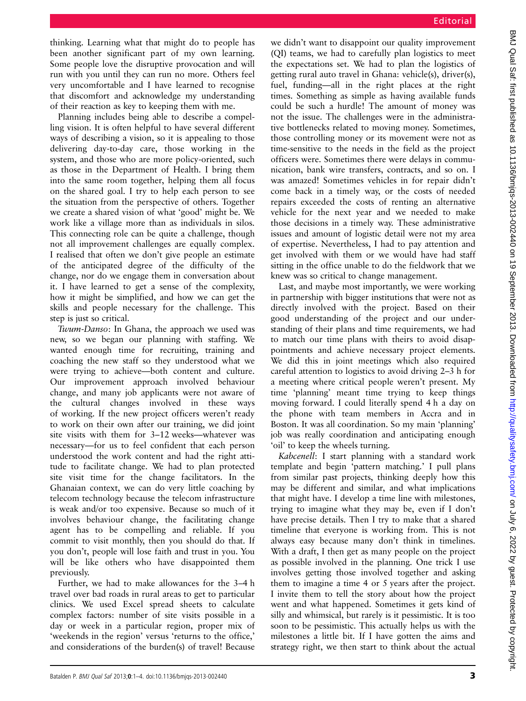thinking. Learning what that might do to people has been another significant part of my own learning. Some people love the disruptive provocation and will run with you until they can run no more. Others feel very uncomfortable and I have learned to recognise that discomfort and acknowledge my understanding of their reaction as key to keeping them with me.

Planning includes being able to describe a compelling vision. It is often helpful to have several different ways of describing a vision, so it is appealing to those delivering day-to-day care, those working in the system, and those who are more policy-oriented, such as those in the Department of Health. I bring them into the same room together, helping them all focus on the shared goal. I try to help each person to see the situation from the perspective of others. Together we create a shared vision of what 'good' might be. We work like a village more than as individuals in silos. This connecting role can be quite a challenge, though not all improvement challenges are equally complex. I realised that often we don't give people an estimate of the anticipated degree of the difficulty of the change, nor do we engage them in conversation about it. I have learned to get a sense of the complexity, how it might be simplified, and how we can get the skills and people necessary for the challenge. This step is just so critical.

Twum-Danso: In Ghana, the approach we used was new, so we began our planning with staffing. We wanted enough time for recruiting, training and coaching the new staff so they understood what we were trying to achieve—both content and culture. Our improvement approach involved behaviour change, and many job applicants were not aware of the cultural changes involved in these ways of working. If the new project officers weren't ready to work on their own after our training, we did joint site visits with them for 3–12 weeks—whatever was necessary—for us to feel confident that each person understood the work content and had the right attitude to facilitate change. We had to plan protected site visit time for the change facilitators. In the Ghanaian context, we can do very little coaching by telecom technology because the telecom infrastructure is weak and/or too expensive. Because so much of it involves behaviour change, the facilitating change agent has to be compelling and reliable. If you commit to visit monthly, then you should do that. If you don't, people will lose faith and trust in you. You will be like others who have disappointed them previously.

Further, we had to make allowances for the 3–4 h travel over bad roads in rural areas to get to particular clinics. We used Excel spread sheets to calculate complex factors: number of site visits possible in a day or week in a particular region, proper mix of 'weekends in the region' versus 'returns to the office,' and considerations of the burden(s) of travel! Because

we didn't want to disappoint our quality improvement (QI) teams, we had to carefully plan logistics to meet the expectations set. We had to plan the logistics of getting rural auto travel in Ghana: vehicle(s), driver(s), fuel, funding—all in the right places at the right times. Something as simple as having available funds could be such a hurdle! The amount of money was not the issue. The challenges were in the administrative bottlenecks related to moving money. Sometimes, those controlling money or its movement were not as time-sensitive to the needs in the field as the project officers were. Sometimes there were delays in communication, bank wire transfers, contracts, and so on. I was amazed! Sometimes vehicles in for repair didn't come back in a timely way, or the costs of needed repairs exceeded the costs of renting an alternative vehicle for the next year and we needed to make those decisions in a timely way. These administrative issues and amount of logistic detail were not my area of expertise. Nevertheless, I had to pay attention and get involved with them or we would have had staff sitting in the office unable to do the fieldwork that we knew was so critical to change management.

Last, and maybe most importantly, we were working in partnership with bigger institutions that were not as directly involved with the project. Based on their good understanding of the project and our understanding of their plans and time requirements, we had to match our time plans with theirs to avoid disappointments and achieve necessary project elements. We did this in joint meetings which also required careful attention to logistics to avoid driving 2–3 h for a meeting where critical people weren't present. My time 'planning' meant time trying to keep things moving forward. I could literally spend 4 h a day on the phone with team members in Accra and in Boston. It was all coordination. So my main 'planning' job was really coordination and anticipating enough 'oil' to keep the wheels turning.

Kabcenell: I start planning with a standard work template and begin 'pattern matching.' I pull plans from similar past projects, thinking deeply how this may be different and similar, and what implications that might have. I develop a time line with milestones, trying to imagine what they may be, even if I don't have precise details. Then I try to make that a shared timeline that everyone is working from. This is not always easy because many don't think in timelines. With a draft, I then get as many people on the project as possible involved in the planning. One trick I use involves getting those involved together and asking them to imagine a time 4 or 5 years after the project. I invite them to tell the story about how the project went and what happened. Sometimes it gets kind of silly and whimsical, but rarely is it pessimistic. It is too soon to be pessimistic. This actually helps us with the milestones a little bit. If I have gotten the aims and strategy right, we then start to think about the actual